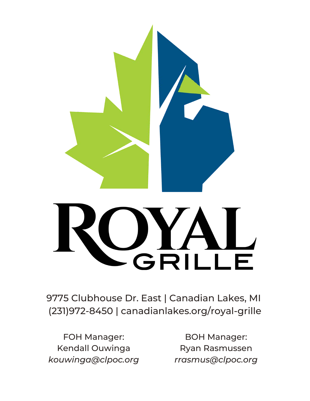

# UYA

9775 Clubhouse Dr. East | Canadian Lakes, MI (231)972-8450 | canadianlakes.org/royal-grille

FOH Manager: Kendall Ouwinga *kouwinga@clpoc.org*

BOH Manager: Ryan Rasmussen *rrasmus@clpoc.org*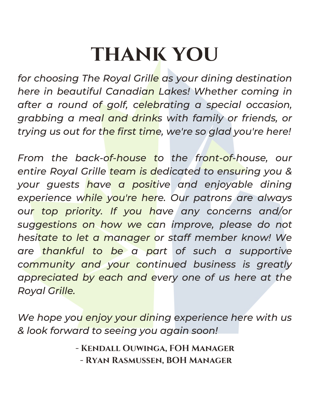# **thank you**

*for choosing The Royal Grille as your dining destination here in beautiful Canadian Lakes! Whether coming in after a round of golf, celebrating a special occasion, grabbing a meal and drinks with family or friends, or trying us out for the first time, we're so glad you're here!*

*From the back-of-house to the front-of-house, our entire Royal Grille team is dedicated to ensuring you & your guests have a positive and enjoyable dining experience while you're here. Our patrons are always our top priority. If you have any concerns and/or suggestions on how we can improve, please do not hesitate to let a manager or staff member know! We are thankful to be a part of such a supportive community and your continued business is greatly appreciated by each and every one of us here at the Royal Grille.*

*We hope you enjoy your dining experience here with us & look forward to seeing you again soon!*

> **- Kendall Ouwinga, FOH Manager - Ryan Rasmussen, BOH Manager**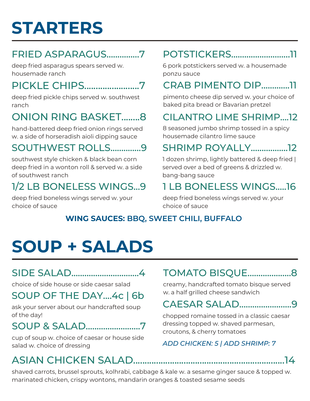# **STARTERS**

# FRIED ASPARAGUS...............7

deep fried asparagus spears served w. housemade ranch

# PICKLE CHIPS........................7

deep fried pickle chips served w. southwest ranch

# ONION RING BASKET........8

hand-battered deep fried onion rings served w. a side of horseradish aioli dipping sauce

# SOUTHWEST ROLLS..............9

southwest style chicken & black bean corn deep fried in a wonton roll & served w. a side of southwest ranch

# 1/2 LB BONELESS WINGS...9

deep fried boneless wings served w. your choice of sauce

# POTSTICKERS...........................11

6 pork potstickers served w. a housemade ponzu sauce

# CRAB PIMENTO DIP.............11

pimento cheese dip served w. your choice of baked pita bread or Bavarian pretzel

# CILANTRO LIME SHRIMP....12

8 seasoned jumbo shrimp tossed in a spicy housemade cilantro lime sauce

# SHRIMP ROYALLY.................12

1 dozen shrimp, lightly battered & deep fried | served over a bed of greens & drizzled w. bang-bang sauce

# 1 LB BONELESS WINGS.....16

deep fried boneless wings served w. your choice of sauce

#### **WING SAUCES: BBQ, SWEET CHILI, BUFFALO**

# **SOUP + SALADS**

# SIDE SALAD...............................4

choice of side house or side caesar salad

# SOUP OF THE DAY....4c | 6b

ask your server about our handcrafted soup of the day!

# SOUP & SALAD.........................7

cup of soup w. choice of caesar or house side salad w. choice of dressing

# TOMATO BISQUE....................8

creamy, handcrafted tomato bisque served w. a half grilled cheese sandwich

# CAESAR SALAD........................9

chopped romaine tossed in a classic caesar dressing topped w. shaved parmesan, croutons, & cherry tomatoes

#### *ADD CHICKEN: 5 | ADD SHRIMP: 7*

shaved carrots, brussel sprouts, kolhrabi, cabbage & kale w. a sesame ginger sauce & topped w. marinated chicken, crispy wontons, mandarin oranges & toasted sesame seeds

ASIAN CHICKEN SALAD..................................................................14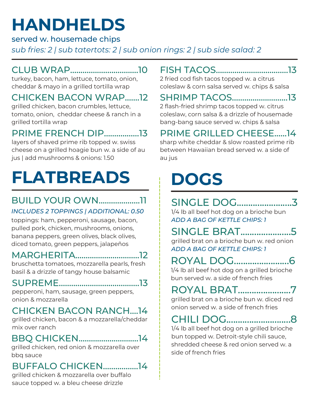# **HANDHELDS**

served w. housemade chips

*sub fries: 2 | sub tatertots: 2 | sub onion rings: 2 | sub side salad: 2*

# CLUB WRAP.................................10

turkey, bacon, ham, lettuce, tomato, onion, cheddar & mayo in a grilled tortilla wrap

#### CHICKEN BACON WRAP.......12

grilled chicken, bacon crumbles, lettuce, tomato, onion, cheddar cheese & ranch in a grilled tortilla wrap

### PRIME FRENCH DIP.................13

layers of shaved prime rib topped w. swiss cheese on a grilled hoagie bun w. a side of au jus | add mushrooms & onions: 1.50

# **FLATBREADS**

# BUILD YOUR OWN....................11

#### *INCLUDES 2 TOPPINGS | ADDITIONAL: 0.50*

toppings: ham, pepperoni, sausage, bacon, pulled pork, chicken, mushrooms, onions, banana peppers, green olives, black olives, diced tomato, green peppers, jalapeños

# MARGHERITA...............................12

bruschetta tomatoes, mozzarella pearls, fresh basil & a drizzle of tangy house balsamic

#### SUPREME.......................................13

pepperoni, ham, sausage, green peppers, onion & mozzarella

#### CHICKEN BACON RANCH....14

grilled chicken, bacon & a mozzarella/cheddar mix over ranch

# BBQ CHICKEN.............................14

grilled chicken, red onion & mozzarella over bbq sauce

# BUFFALO CHICKEN.................14

grilled chicken & mozzarella over buffalo sauce topped w. a bleu cheese drizzle

# FISH TACOS...................................13

2 fried cod fish tacos topped w. a citrus coleslaw & corn salsa served w. chips & salsa

# SHRIMP TACOS...........................13

2 flash-fried shrimp tacos topped w. citrus coleslaw, corn salsa & a drizzle of housemade bang-bang sauce served w. chips & salsa

# PRIME GRILLED CHEESE......14

sharp white cheddar & slow roasted prime rib between Hawaiian bread served w. a side of au jus

# **DOGS**

#### SINGLE DOG........................3 1/4 lb all beef hot dog on a brioche bun *ADD A BAG OF KETTLE CHIPS: 1*

SINGLE BRAT......................5 grilled brat on a brioche bun w. red onion *ADD A BAG OF KETTLE CHIPS: 1*

ROYAL DOG........................6 1/4 lb all beef hot dog on a grilled brioche

bun served w. a side of french fries

# ROYAL BRAT.......................7

grilled brat on a brioche bun w. diced red onion served w. a side of french fries

# CHILI DOG............................8

1/4 lb all beef hot dog on a grilled brioche bun topped w. Detroit-style chili sauce, shredded cheese & red onion served w. a side of french fries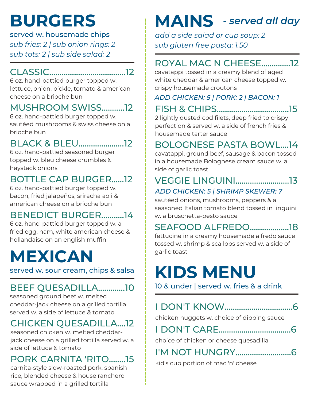# **BURGERS**

served w. housemade chips *sub fries: 2 | sub onion rings: 2 sub tots: 2 | sub side salad: 2*

# CLASSIC.....................................12

6 oz. hand-pattied burger topped w. lettuce, onion, pickle, tomato & american cheese on a brioche bun

## MUSHROOM SWISS...........12

6 oz. hand-pattied burger topped w. sautéed mushrooms & swiss cheese on a brioche bun

# BLACK & BLEU......................12

6 oz. hand-pattied seasoned burger topped w. bleu cheese crumbles & haystack onions

# BOTTLE CAP BURGER......12

6 oz. hand-pattied burger topped w. bacon, fried jalapeños, sriracha aoli & american cheese on a brioche bun

# BENEDICT BURGER...........14

6 oz. hand-pattied burger topped w. a fried egg, ham, white american cheese & hollandaise on an english muffin

# **MEXICAN**

served w. sour cream, chips & salsa

# BEEF QUESADILLA.............10

seasoned ground beef w. melted cheddar-jack cheese on a grilled tortilla served w. a side of lettuce & tomato

# CHICKEN QUESADILLA....12

seasoned chicken w. melted cheddarjack cheese on a grilled tortilla served w. a side of lettuce & tomato

# PORK CARNITA 'RITO........15

carnita-style slow-roasted pork, spanish rice, blended cheese & house ranchero sauce wrapped in a grilled tortilla

# **MAINS** *- served all day*

*add a side salad or cup soup: 2 sub gluten free pasta: 1.50*

# ROYAL MAC N CHEESE..............12

cavatappi tossed in a creamy blend of aged white cheddar & american cheese topped w. crispy housemade croutons

#### *ADD CHICKEN: 5 | PORK: 2 | BACON: 1*

FISH & CHIPS...................................15

2 lightly dusted cod filets, deep fried to crispy perfection & served w. a side of french fries & housemade tarter sauce

# BOLOGNESE PASTA BOWL....14

cavatappi, ground beef, sausage & bacon tossed in a housemade Bolognese cream sauce w. a side of garlic toast

#### VEGGIE LINGUINI..........................13 *ADD CHICKEN: 5 | SHRIMP SKEWER: 7*

sautéed onions, mushrooms, peppers & a seasoned Italian tomato blend tossed in linguini w. a bruschetta-pesto sauce

# SEAFOOD ALFREDO...................18

fettucine in a creamy housemade alfredo sauce tossed w. shrimp & scallops served w. a side of garlic toast

# **KIDS MENU**

10 & under | served w. fries & a drink

|--|--|

chicken nuggets w. choice of dipping sauce

# I DON'T CARE...................................6

choice of chicken or cheese quesadilla

# I'M NOT HUNGRY...........................6

kid's cup portion of mac 'n' cheese